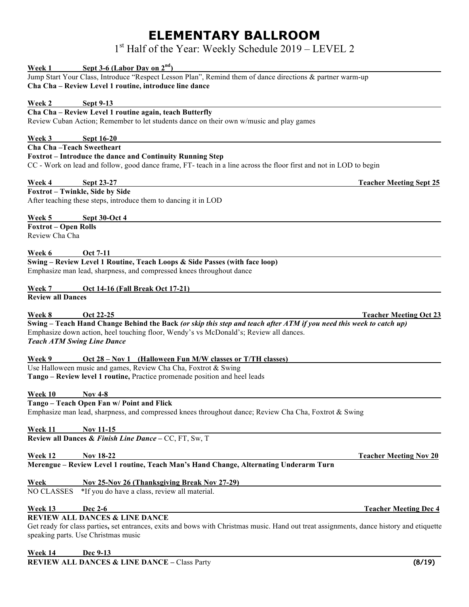## **ELEMENTARY BALLROOM**

1st Half of the Year: Weekly Schedule 2019 – LEVEL 2

| Week 1                      | Sept 3-6 (Labor Day on $2nd$ )                                                                                                               |
|-----------------------------|----------------------------------------------------------------------------------------------------------------------------------------------|
|                             | Jump Start Your Class, Introduce "Respect Lesson Plan", Remind them of dance directions & partner warm-up                                    |
|                             | Cha Cha - Review Level 1 routine, introduce line dance                                                                                       |
|                             |                                                                                                                                              |
| <b>Week 2</b>               | <b>Sept 9-13</b><br>Cha Cha - Review Level 1 routine again, teach Butterfly                                                                  |
|                             | Review Cuban Action; Remember to let students dance on their own w/music and play games                                                      |
|                             |                                                                                                                                              |
| <b>Week 3</b>               | <b>Sept 16-20</b>                                                                                                                            |
| Cha Cha-Teach Sweetheart    |                                                                                                                                              |
|                             | Foxtrot - Introduce the dance and Continuity Running Step                                                                                    |
|                             | CC - Work on lead and follow, good dance frame, FT- teach in a line across the floor first and not in LOD to begin                           |
|                             |                                                                                                                                              |
| Week 4                      | <b>Sept 23-27</b><br><b>Teacher Meeting Sept 25</b><br>Foxtrot - Twinkle, Side by Side                                                       |
|                             | After teaching these steps, introduce them to dancing it in LOD                                                                              |
|                             |                                                                                                                                              |
| Week 5                      | <b>Sept 30-Oct 4</b>                                                                                                                         |
| <b>Foxtrot - Open Rolls</b> |                                                                                                                                              |
| Review Cha Cha              |                                                                                                                                              |
|                             |                                                                                                                                              |
| Week 6                      | <b>Oct 7-11</b>                                                                                                                              |
|                             | Swing - Review Level 1 Routine, Teach Loops & Side Passes (with face loop)                                                                   |
|                             | Emphasize man lead, sharpness, and compressed knees throughout dance                                                                         |
| Week 7                      | Oct 14-16 (Fall Break Oct 17-21)                                                                                                             |
| <b>Review all Dances</b>    |                                                                                                                                              |
|                             |                                                                                                                                              |
| <b>Week 8</b>               | Oct 22-25<br><b>Teacher Meeting Oct 23</b>                                                                                                   |
|                             | Swing – Teach Hand Change Behind the Back (or skip this step and teach after ATM if you need this week to catch up)                          |
|                             | Emphasize down action, heel touching floor, Wendy's vs McDonald's; Review all dances.                                                        |
|                             | <b>Teach ATM Swing Line Dance</b>                                                                                                            |
|                             |                                                                                                                                              |
| Week 9                      | Oct 28 – Nov 1 (Halloween Fun M/W classes or T/TH classes)                                                                                   |
|                             | Use Halloween music and games, Review Cha Cha, Foxtrot & Swing<br>Tango - Review level 1 routine, Practice promenade position and heel leads |
|                             |                                                                                                                                              |
| Week 10                     | Nov $4-8$                                                                                                                                    |
|                             | Tango - Teach Open Fan w/ Point and Flick                                                                                                    |
|                             | Emphasize man lead, sharpness, and compressed knees throughout dance; Review Cha Cha, Foxtrot & Swing                                        |
|                             |                                                                                                                                              |
| Week 11                     | <b>Nov 11-15</b>                                                                                                                             |
|                             | Review all Dances & Finish Line Dance - CC, FT, Sw, T                                                                                        |
| <b>Week 12</b>              | Nov 18-22<br><b>Teacher Meeting Nov 20</b>                                                                                                   |
|                             | Merengue - Review Level 1 routine, Teach Man's Hand Change, Alternating Underarm Turn                                                        |
|                             |                                                                                                                                              |
| <b>Week</b>                 | <b>Nov 25-Nov 26 (Thanksgiving Break Nov 27-29)</b>                                                                                          |
| <b>NO CLASSES</b>           | *If you do have a class, review all material.                                                                                                |
|                             |                                                                                                                                              |
| <b>Week 13</b>              | <b>Dec 2-6</b><br><b>Teacher Meeting Dec 4</b>                                                                                               |
|                             | <b>REVIEW ALL DANCES &amp; LINE DANCE</b>                                                                                                    |
|                             |                                                                                                                                              |
|                             | Get ready for class parties, set entrances, exits and bows with Christmas music. Hand out treat assignments, dance history and etiquette     |
|                             | speaking parts. Use Christmas music                                                                                                          |

**Week 14 Dec 9-13 REVIEW ALL DANCES & LINE DANCE –** Class Party **(8/19)**